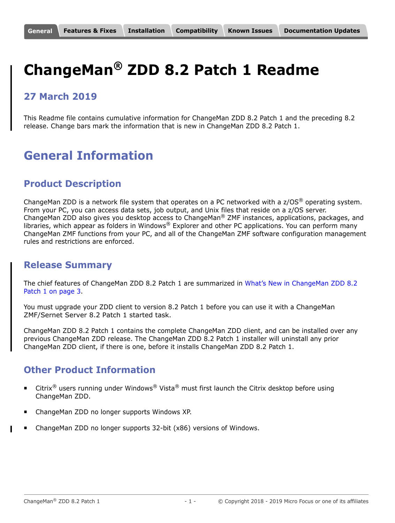# <span id="page-0-0"></span>**ChangeMan® ZDD 8.2 Patch 1 Readme**

# **27 March 2019**

This Readme file contains cumulative information for ChangeMan ZDD 8.2 Patch 1 and the preceding 8.2 release. Change bars mark the information that is new in ChangeMan ZDD 8.2 Patch 1.

# **General Information**

### **Product Description**

ChangeMan ZDD is a network file system that operates on a PC networked with a  $z/OS^{\circledast}$  operating system. From your PC, you can access data sets, job output, and Unix files that reside on a z/OS server. ChangeMan ZDD also gives you desktop access to ChangeMan® ZMF instances, applications, packages, and libraries, which appear as folders in Windows® Explorer and other PC applications. You can perform many ChangeMan ZMF functions from your PC, and all of the ChangeMan ZMF software configuration management rules and restrictions are enforced.

### **Release Summary**

The chief features of ChangeMan ZDD 8.2 Patch 1 are summarized in [What's New in ChangeMan ZDD 8.2](#page-2-1)  [Patch 1 on page 3](#page-2-1).

You must upgrade your ZDD client to version 8.2 Patch 1 before you can use it with a ChangeMan ZMF/Sernet Server 8.2 Patch 1 started task.

ChangeMan ZDD 8.2 Patch 1 contains the complete ChangeMan ZDD client, and can be installed over any previous ChangeMan ZDD release. The ChangeMan ZDD 8.2 Patch 1 installer will uninstall any prior ChangeMan ZDD client, if there is one, before it installs ChangeMan ZDD 8.2 Patch 1.

# **Other Product Information**

- **EXECT LITE CITERS** USER THE Under Windows<sup>®</sup> Vista<sup>®</sup> must first launch the Citrix desktop before using ChangeMan ZDD.
- ChangeMan ZDD no longer supports Windows XP.
- ChangeMan ZDD no longer supports 32-bit (x86) versions of Windows.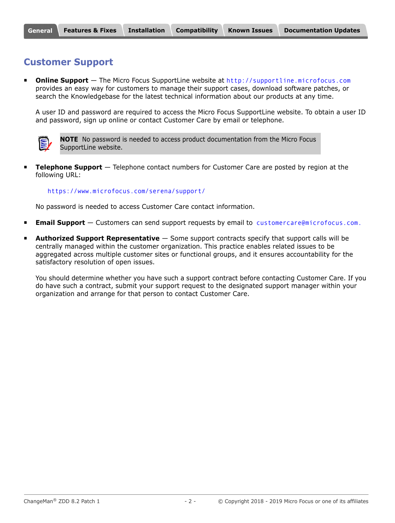# **Customer Support**

 **Online Support** — The Micro Focus SupportLine website at [http://supportline.microfocus.com](https://supportline.microfocus.com/) provides an easy way for customers to manage their support cases, download software patches, or search the Knowledgebase for the latest technical information about our products at any time.

A user ID and password are required to access the Micro Focus SupportLine website. To obtain a user ID and password, sign up online or contact Customer Care by email or telephone.



**NOTE** No password is needed to access product documentation from the Micro Focus SupportLine website.

**Telephone Support** — Telephone contact numbers for Customer Care are posted by region at the following URL:

#### <https://www.microfocus.com/serena/support/>

No password is needed to access Customer Care contact information.

- **Email Support** Customers can send support requests by email to [customercare@microfocus.com.](mailto:customercare@microfocus.com )
- **Authorized Support Representative** Some support contracts specify that support calls will be centrally managed within the customer organization. This practice enables related issues to be aggregated across multiple customer sites or functional groups, and it ensures accountability for the satisfactory resolution of open issues.

You should determine whether you have such a support contract before contacting Customer Care. If you do have such a contract, submit your support request to the designated support manager within your organization and arrange for that person to contact Customer Care.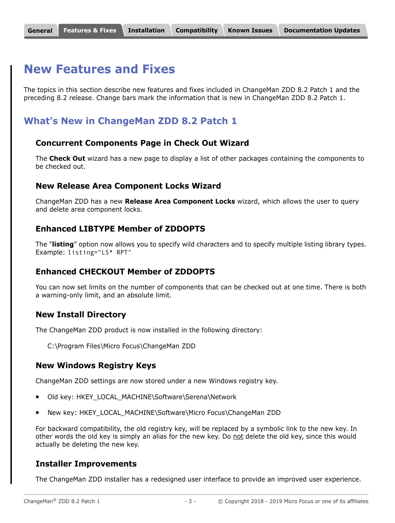# <span id="page-2-0"></span>**New Features and Fixes**

The topics in this section describe new features and fixes included in ChangeMan ZDD 8.2 Patch 1 and the preceding 8.2 release. Change bars mark the information that is new in ChangeMan ZDD 8.2 Patch 1.

### <span id="page-2-1"></span>**What's New in ChangeMan ZDD 8.2 Patch 1**

#### **Concurrent Components Page in Check Out Wizard**

The **Check Out** wizard has a new page to display a list of other packages containing the components to be checked out.

#### **New Release Area Component Locks Wizard**

ChangeMan ZDD has a new **Release Area Component Locks** wizard, which allows the user to query and delete area component locks.

#### **Enhanced LIBTYPE Member of ZDDOPTS**

The "**listing**" option now allows you to specify wild characters and to specify multiple listing library types. Example: listing="LS\* RPT"

#### **Enhanced CHECKOUT Member of ZDDOPTS**

You can now set limits on the number of components that can be checked out at one time. There is both a warning-only limit, and an absolute limit.

#### **New Install Directory**

The ChangeMan ZDD product is now installed in the following directory:

C:\Program Files\Micro Focus\ChangeMan ZDD

#### **New Windows Registry Keys**

ChangeMan ZDD settings are now stored under a new Windows registry key.

- Old key: HKEY\_LOCAL\_MACHINE\Software\Serena\Network
- New key: HKEY\_LOCAL\_MACHINE\Software\Micro Focus\ChangeMan ZDD

For backward compatibility, the old registry key, will be replaced by a symbolic link to the new key. In other words the old key is simply an alias for the new key. Do not delete the old key, since this would actually be deleting the new key.

#### **Installer Improvements**

The ChangeMan ZDD installer has a redesigned user interface to provide an improved user experience.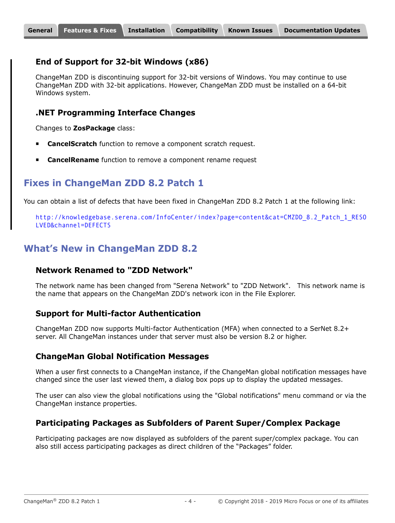#### **End of Support for 32-bit Windows (x86)**

ChangeMan ZDD is discontinuing support for 32-bit versions of Windows. You may continue to use ChangeMan ZDD with 32-bit applications. However, ChangeMan ZDD must be installed on a 64-bit Windows system.

#### **.NET Programming Interface Changes**

Changes to **ZosPackage** class:

- **CancelScratch** function to remove a component scratch request.
- **CancelRename** function to remove a component rename request

# **Fixes in ChangeMan ZDD 8.2 Patch 1**

You can obtain a list of defects that have been fixed in ChangeMan ZDD 8.2 Patch 1 at the following link:

[http://knowledgebase.serena.com/InfoCenter/index?page=content&cat=CMZDD\\_8.2\\_Patch\\_1\\_RESO](http://knowledgebase.serena.com/InfoCenter/index?page=content&cat=CMZDD_8.2_Patch_1_RESOLVED&channel=DEFECTS) LVED&channel=DEFECTS

# **What's New in ChangeMan ZDD 8.2**

#### **Network Renamed to "ZDD Network"**

The network name has been changed from "Serena Network" to "ZDD Network". This network name is the name that appears on the ChangeMan ZDD's network icon in the File Explorer.

#### **Support for Multi-factor Authentication**

ChangeMan ZDD now supports Multi-factor Authentication (MFA) when connected to a SerNet 8.2+ server. All ChangeMan instances under that server must also be version 8.2 or higher.

#### **ChangeMan Global Notification Messages**

When a user first connects to a ChangeMan instance, if the ChangeMan global notification messages have changed since the user last viewed them, a dialog box pops up to display the updated messages.

The user can also view the global notifications using the "Global notifications" menu command or via the ChangeMan instance properties.

#### **Participating Packages as Subfolders of Parent Super/Complex Package**

Participating packages are now displayed as subfolders of the parent super/complex package. You can also still access participating packages as direct children of the "Packages" folder.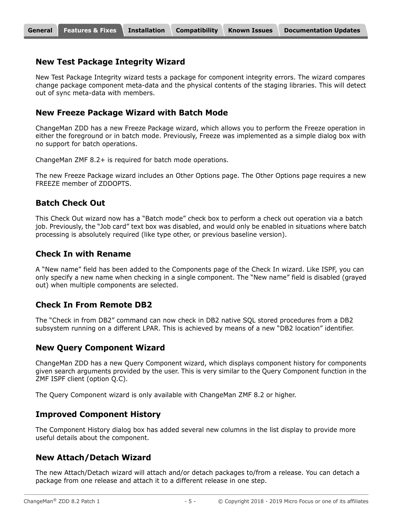#### **New Test Package Integrity Wizard**

New Test Package Integrity wizard tests a package for component integrity errors. The wizard compares change package component meta-data and the physical contents of the staging libraries. This will detect out of sync meta-data with members.

#### **New Freeze Package Wizard with Batch Mode**

ChangeMan ZDD has a new Freeze Package wizard, which allows you to perform the Freeze operation in either the foreground or in batch mode. Previously, Freeze was implemented as a simple dialog box with no support for batch operations.

ChangeMan ZMF 8.2+ is required for batch mode operations.

The new Freeze Package wizard includes an Other Options page. The Other Options page requires a new FREEZE member of ZDDOPTS.

#### **Batch Check Out**

This Check Out wizard now has a "Batch mode" check box to perform a check out operation via a batch job. Previously, the "Job card" text box was disabled, and would only be enabled in situations where batch processing is absolutely required (like type other, or previous baseline version).

#### **Check In with Rename**

A "New name" field has been added to the Components page of the Check In wizard. Like ISPF, you can only specify a new name when checking in a single component. The "New name" field is disabled (grayed out) when multiple components are selected.

#### **Check In From Remote DB2**

The "Check in from DB2" command can now check in DB2 native SQL stored procedures from a DB2 subsystem running on a different LPAR. This is achieved by means of a new "DB2 location" identifier.

#### **New Query Component Wizard**

ChangeMan ZDD has a new Query Component wizard, which displays component history for components given search arguments provided by the user. This is very similar to the Query Component function in the ZMF ISPF client (option Q.C).

The Query Component wizard is only available with ChangeMan ZMF 8.2 or higher.

#### **Improved Component History**

The Component History dialog box has added several new columns in the list display to provide more useful details about the component.

#### **New Attach/Detach Wizard**

The new Attach/Detach wizard will attach and/or detach packages to/from a release. You can detach a package from one release and attach it to a different release in one step.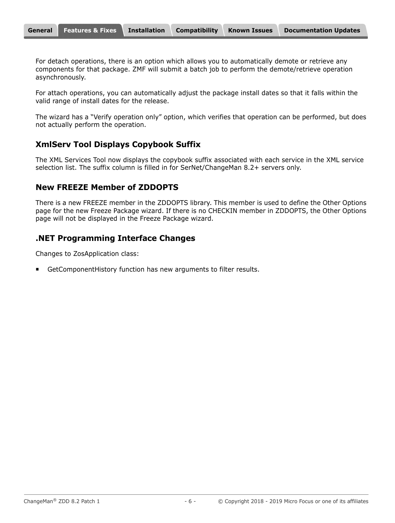For detach operations, there is an option which allows you to automatically demote or retrieve any components for that package. ZMF will submit a batch job to perform the demote/retrieve operation asynchronously.

For attach operations, you can automatically adjust the package install dates so that it falls within the valid range of install dates for the release.

The wizard has a "Verify operation only" option, which verifies that operation can be performed, but does not actually perform the operation.

#### **XmlServ Tool Displays Copybook Suffix**

The XML Services Tool now displays the copybook suffix associated with each service in the XML service selection list. The suffix column is filled in for SerNet/ChangeMan 8.2+ servers only.

#### **New FREEZE Member of ZDDOPTS**

There is a new FREEZE member in the ZDDOPTS library. This member is used to define the Other Options page for the new Freeze Package wizard. If there is no CHECKIN member in ZDDOPTS, the Other Options page will not be displayed in the Freeze Package wizard.

#### **.NET Programming Interface Changes**

Changes to ZosApplication class:

GetComponentHistory function has new arguments to filter results.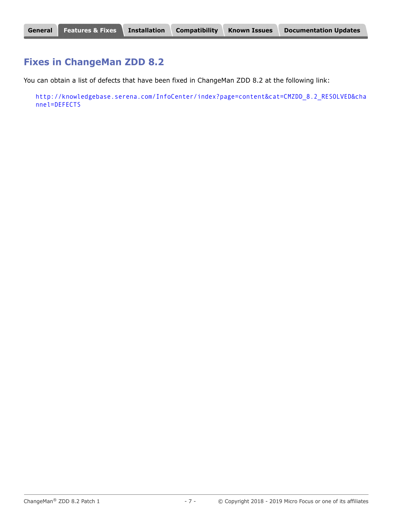### **Fixes in ChangeMan ZDD 8.2**

You can obtain a list of defects that have been fixed in ChangeMan ZDD 8.2 at the following link:

[http://knowledgebase.serena.com/InfoCenter/index?page=content&cat=CMZDD\\_8.2\\_RESOLVED&cha](http://knowledgebase.serena.com/InfoCenter/index?page=content&cat=CMZDD_8.2_RESOLVED&channel=DEFECTS) nnel=DEFECTS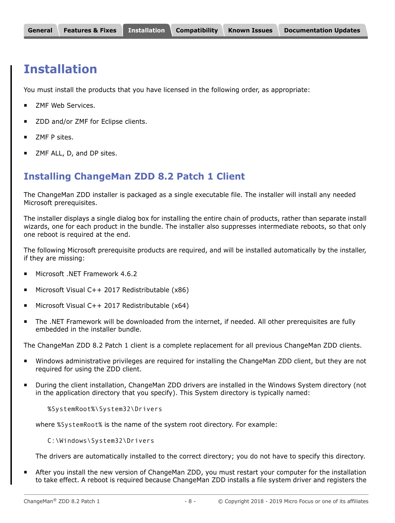# <span id="page-7-0"></span>**Installation**

You must install the products that you have licensed in the following order, as appropriate:

- ZMF Web Services.
- ZDD and/or ZMF for Eclipse clients.
- **EXALGE P** sites.
- ZMF ALL, D, and DP sites.

# **Installing ChangeMan ZDD 8.2 Patch 1 Client**

The ChangeMan ZDD installer is packaged as a single executable file. The installer will install any needed Microsoft prerequisites.

The installer displays a single dialog box for installing the entire chain of products, rather than separate install wizards, one for each product in the bundle. The installer also suppresses intermediate reboots, so that only one reboot is required at the end.

The following Microsoft prerequisite products are required, and will be installed automatically by the installer, if they are missing:

- Microsoft .NET Framework 4.6.2
- Microsoft Visual C++ 2017 Redistributable (x86)
- Microsoft Visual C++ 2017 Redistributable (x64)
- The .NET Framework will be downloaded from the internet, if needed. All other prerequisites are fully embedded in the installer bundle.

The ChangeMan ZDD 8.2 Patch 1 client is a complete replacement for all previous ChangeMan ZDD clients.

- Windows administrative privileges are required for installing the ChangeMan ZDD client, but they are not required for using the ZDD client.
- During the client installation, ChangeMan ZDD drivers are installed in the Windows System directory (not in the application directory that you specify). This System directory is typically named:

%SystemRoot%\System32\Drivers

where %SystemRoot% is the name of the system root directory. For example:

C:\Windows\System32\Drivers

The drivers are automatically installed to the correct directory; you do not have to specify this directory.

 After you install the new version of ChangeMan ZDD, you must restart your computer for the installation to take effect. A reboot is required because ChangeMan ZDD installs a file system driver and registers the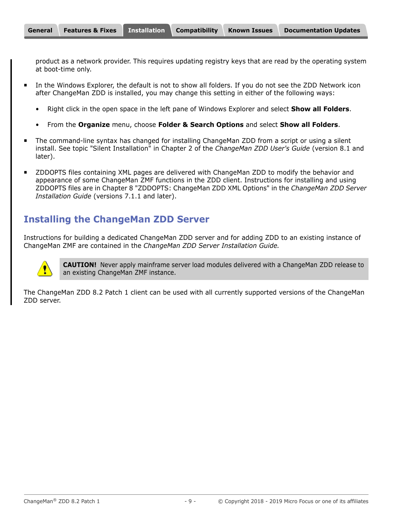product as a network provider. This requires updating registry keys that are read by the operating system at boot-time only.

- In the Windows Explorer, the default is not to show all folders. If you do not see the ZDD Network icon after ChangeMan ZDD is installed, you may change this setting in either of the following ways:
	- Right click in the open space in the left pane of Windows Explorer and select **Show all Folders**.
	- From the **Organize** menu, choose **Folder & Search Options** and select **Show all Folders**.
- The command-line syntax has changed for installing ChangeMan ZDD from a script or using a silent install. See topic "Silent Installation" in Chapter 2 of the *ChangeMan ZDD User's Guide* (version 8.1 and later).
- **EXTED 20 THS 20 THS 20 THS 20 THS 20 THS 20 THS 20 THS 20 THS 20 THS 20 THS 20 THS 20 THS 20 THS 20 THS 20 THS 20 THS 20 THS 20 THS 20 THS 20 THS 20 THS 20 THS 20 THS 20 THS 20 THS 20 THS 20 THS 20 THS 20 THS 20 THS 20 TH** appearance of some ChangeMan ZMF functions in the ZDD client. Instructions for installing and using ZDDOPTS files are in Chapter 8 "ZDDOPTS: ChangeMan ZDD XML Options" in the *ChangeMan ZDD Server Installation Guide* (versions 7.1.1 and later).

# **Installing the ChangeMan ZDD Server**

Instructions for building a dedicated ChangeMan ZDD server and for adding ZDD to an existing instance of ChangeMan ZMF are contained in the *ChangeMan ZDD Server Installation Guide.*



**CAUTION!** Never apply mainframe server load modules delivered with a ChangeMan ZDD release to an existing ChangeMan ZMF instance.

The ChangeMan ZDD 8.2 Patch 1 client can be used with all currently supported versions of the ChangeMan ZDD server.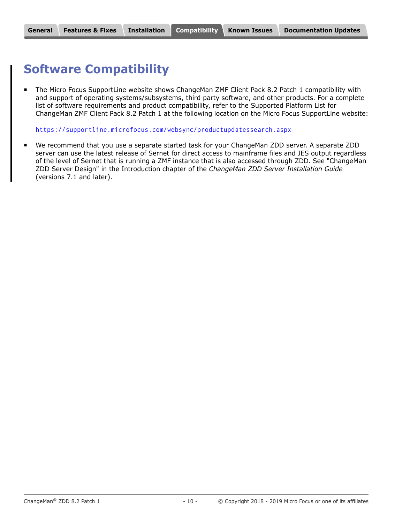# <span id="page-9-0"></span>**Software Compatibility**

 The Micro Focus SupportLine website shows ChangeMan ZMF Client Pack 8.2 Patch 1 compatibility with and support of operating systems/subsystems, third party software, and other products. For a complete list of software requirements and product compatibility, refer to the Supported Platform List for ChangeMan ZMF Client Pack 8.2 Patch 1 at the following location on the Micro Focus SupportLine website:

<https://supportline.microfocus.com/websync/productupdatessearch.aspx>

 We recommend that you use a separate started task for your ChangeMan ZDD server. A separate ZDD server can use the latest release of Sernet for direct access to mainframe files and JES output regardless of the level of Sernet that is running a ZMF instance that is also accessed through ZDD. See "ChangeMan ZDD Server Design" in the Introduction chapter of the *ChangeMan ZDD Server Installation Guide* (versions 7.1 and later).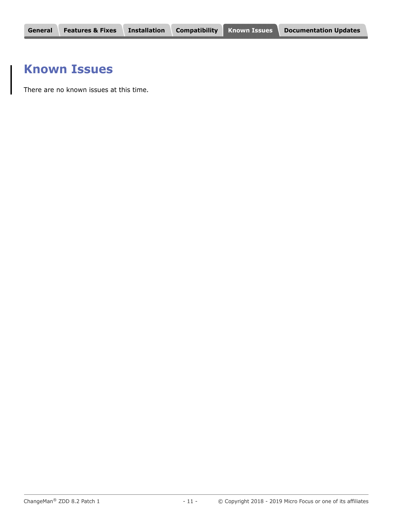# <span id="page-10-0"></span>**Known Issues**

There are no known issues at this time.